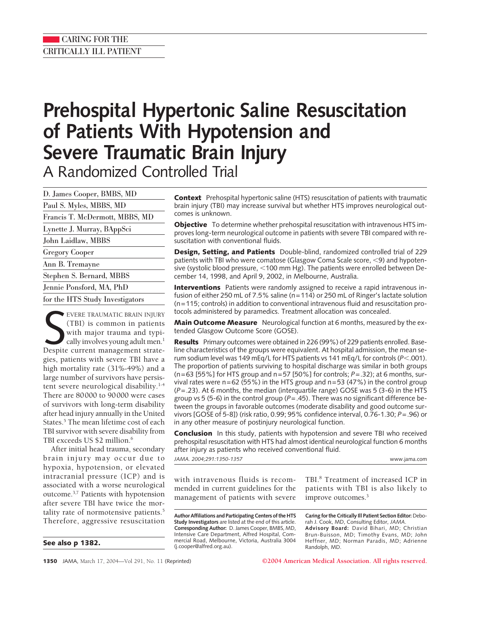# **Prehospital Hypertonic Saline Resuscitation of Patients With Hypotension and Severe Traumatic Brain Injury** A Randomized Controlled Trial

D. James Cooper, BMBS, MD Paul S. Myles, MBBS, MD Francis T. McDermott, MBBS, MD Lynette J. Murray, BAppSci John Laidlaw, MBBS Gregory Cooper Ann B. Tremayne Stephen S. Bernard, MBBS Jennie Ponsford, MA, PhD for the HTS Study Investigators

EVERE TRAUMATIC BRAIN INJURY (TBI) is common in patients with major trauma and typically involves young adult men.<sup>1</sup><br>Despite current management strate-EVERE TRAUMATIC BRAIN INJURY (TBI) is common in patients with major trauma and typically involves young adult men. $<sup>1</sup>$ </sup> gies, patients with severe TBI have a high mortality rate (31%-49%) and a large number of survivors have persistent severe neurological disability.<sup>1-4</sup> There are 80000 to 90000 were cases of survivors with long-term disability after head injury annually in the United States.<sup>5</sup> The mean lifetime cost of each TBI survivor with severe disability from TBI exceeds US \$2 million.<sup>6</sup>

After initial head trauma, secondary brain injury may occur due to hypoxia, hypotension, or elevated intracranial pressure (ICP) and is associated with a worse neurological outcome.3,7 Patients with hypotension after severe TBI have twice the mortality rate of normotensive patients.<sup>5</sup> Therefore, aggressive resuscitation

**See also p 1382.**

**Context** Prehospital hypertonic saline (HTS) resuscitation of patients with traumatic brain injury (TBI) may increase survival but whether HTS improves neurological outcomes is unknown.

**Objective** To determine whether prehospital resuscitation with intravenous HTS improves long-term neurological outcome in patients with severe TBI compared with resuscitation with conventional fluids.

**Design, Setting, and Patients** Double-blind, randomized controlled trial of 229 patients with TBI who were comatose (Glasgow Coma Scale score,  $\leq$ 9) and hypotensive (systolic blood pressure,  $<$ 100 mm Hg). The patients were enrolled between December 14, 1998, and April 9, 2002, in Melbourne, Australia.

**Interventions** Patients were randomly assigned to receive a rapid intravenous infusion of either 250 mL of 7.5% saline (n=114) or 250 mL of Ringer's lactate solution (n=115; controls) in addition to conventional intravenous fluid and resuscitation protocols administered by paramedics. Treatment allocation was concealed.

**Main Outcome Measure** Neurological function at 6 months, measured by the extended Glasgow Outcome Score (GOSE).

**Results** Primary outcomes were obtained in 226 (99%) of 229 patients enrolled. Baseline characteristics of the groups were equivalent. At hospital admission, the mean serum sodium level was 149 mEq/L for HTS patients vs 141 mEq/L for controls (P<.001). The proportion of patients surviving to hospital discharge was similar in both groups (n=63 [55%] for HTS group and n=57 [50%] for controls; *P*=.32); at 6 months, survival rates were  $n=62$  (55%) in the HTS group and  $n=53$  (47%) in the control group (*P*=.23). At 6 months, the median (interquartile range) GOSE was 5 (3-6) in the HTS group vs 5 (5-6) in the control group ( $P = .45$ ). There was no significant difference between the groups in favorable outcomes (moderate disability and good outcome survivors [GOSE of 5-8]) (risk ratio, 0.99; 95% confidence interval, 0.76-1.30; *P*=.96) or in any other measure of postinjury neurological function.

**Conclusion** In this study, patients with hypotension and severe TBI who received prehospital resuscitation with HTS had almost identical neurological function 6 months after injury as patients who received conventional fluid.

| JAMA. 2004;291:1350-1357                                          | www.jama.com                                                |  |  |
|-------------------------------------------------------------------|-------------------------------------------------------------|--|--|
| with intravenous fluids is recom-                                 | TBI. <sup>8</sup> Treatment of increased ICP in             |  |  |
| mended in current guidelines for the                              | patients with TBI is also likely to                         |  |  |
| management of patients with severe                                | improve outcomes. <sup>3</sup>                              |  |  |
| Author Affiliations and Participating Centers of the HTS          | Caring for the Critically III Patient Section Editor: Debo- |  |  |
| <b>Study Investigators</b> are listed at the end of this article. | rah J. Cook, MD, Consulting Editor, JAMA.                   |  |  |
| Corresponding Author: D. James Cooper, BMBS, MD,                  | Advisory Board: David Bihari, MD; Christian                 |  |  |
| Intensive Care Department, Alfred Hospital, Com-                  | Brun-Buisson, MD; Timothy Evans, MD; John                   |  |  |
| mercial Road, Melbourne, Victoria, Australia 3004                 | Heffner, MD; Norman Paradis, MD; Adrienne                   |  |  |
| (j.cooper@alfred.org.au).                                         | Randolph, MD.                                               |  |  |

**1350** JAMA, March 17, 2004—Vol 291, No. 11 (Reprinted) **©2004 American Medical Association. All rights reserved.**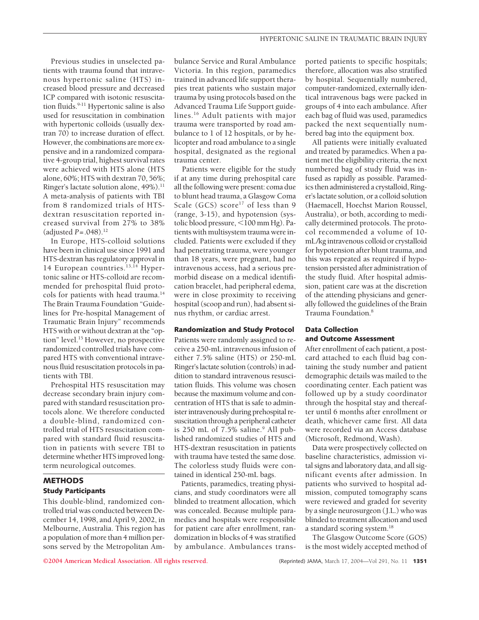Previous studies in unselected patients with trauma found that intravenous hypertonic saline (HTS) increased blood pressure and decreased ICP compared with isotonic resuscitation fluids.<sup>9-11</sup> Hypertonic saline is also used for resuscitation in combination with hypertonic colloids (usually dextran 70) to increase duration of effect. However, the combinations are more expensive and in a randomized comparative 4-group trial, highest survival rates were achieved with HTS alone (HTS alone, 60%; HTS with dextran 70, 56%; Ringer's lactate solution alone, 49%).<sup>11</sup> A meta-analysis of patients with TBI from 8 randomized trials of HTSdextran resuscitation reported increased survival from 27% to 38% (adjusted *P*=.048).12

In Europe, HTS-colloid solutions have been in clinical use since 1991 and HTS-dextran has regulatory approval in 14 European countries.<sup>13,14</sup> Hypertonic saline or HTS-colloid are recommended for prehospital fluid protocols for patients with head trauma.<sup>14</sup> The Brain Trauma Foundation "Guidelines for Pre-hospital Management of Traumatic Brain Injury" recommends HTS with or without dextran at the "option" level.15 However, no prospective randomized controlled trials have compared HTS with conventional intravenous fluid resuscitation protocols in patients with TBI.

Prehospital HTS resuscitation may decrease secondary brain injury compared with standard resuscitation protocols alone. We therefore conducted a double-blind, randomized controlled trial of HTS resuscitation compared with standard fluid resuscitation in patients with severe TBI to determine whether HTS improved longterm neurological outcomes.

## **METHODS Study Participants**

This double-blind, randomized controlled trial was conducted between December 14, 1998, and April 9, 2002, in Melbourne, Australia. This region has a population of more than 4 million persons served by the Metropolitan Ambulance Service and Rural Ambulance Victoria. In this region, paramedics trained in advanced life support therapies treat patients who sustain major trauma by using protocols based on the Advanced Trauma Life Support guidelines.16 Adult patients with major trauma were transported by road ambulance to 1 of 12 hospitals, or by helicopter and road ambulance to a single hospital, designated as the regional trauma center.

Patients were eligible for the study if at any time during prehospital care all the following were present: coma due to blunt head trauma, a Glasgow Coma Scale (GCS) score<sup>17</sup> of less than 9 (range, 3-15), and hypotension (systolic blood pressure, <100 mm Hg). Patients with multisystem trauma were included. Patients were excluded if they had penetrating trauma, were younger than 18 years, were pregnant, had no intravenous access, had a serious premorbid disease on a medical identification bracelet, had peripheral edema, were in close proximity to receiving hospital (scoop and run), had absent sinus rhythm, or cardiac arrest.

#### **Randomization and Study Protocol**

Patients were randomly assigned to receive a 250-mL intravenous infusion of either 7.5% saline (HTS) or 250-mL Ringer's lactate solution (controls) in addition to standard intravenous resuscitation fluids. This volume was chosen because the maximum volume and concentration of HTS that is safe to administer intravenously during prehospital resuscitation through a peripheral catheter is 250 mL of  $7.5\%$  saline.<sup>9</sup> All published randomized studies of HTS and HTS-dextran resuscitation in patients with trauma have tested the same dose. The colorless study fluids were contained in identical 250-mL bags.

Patients, paramedics, treating physicians, and study coordinators were all blinded to treatment allocation, which was concealed. Because multiple paramedics and hospitals were responsible for patient care after enrollment, randomization in blocks of 4 was stratified by ambulance. Ambulances trans-

ported patients to specific hospitals; therefore, allocation was also stratified by hospital. Sequentially numbered, computer-randomized, externally identical intravenous bags were packed in groups of 4 into each ambulance. After each bag of fluid was used, paramedics packed the next sequentially numbered bag into the equipment box.

All patients were initially evaluated and treated by paramedics. When a patient met the eligibility criteria, the next numbered bag of study fluid was infused as rapidly as possible. Paramedics then administered a crystalloid, Ringer's lactate solution, or a colloid solution (Haemacell, Hoechst Marion Roussel, Australia), or both, according to medically determined protocols. The protocol recommended a volume of 10 mL/kg intravenous colloid or crystalloid for hypotension after blunt trauma, and this was repeated as required if hypotension persisted after administration of the study fluid. After hospital admission, patient care was at the discretion of the attending physicians and generally followed the guidelines of the Brain Trauma Foundation.8

### **Data Collection and Outcome Assessment**

After enrollment of each patient, a postcard attached to each fluid bag containing the study number and patient demographic details was mailed to the coordinating center. Each patient was followed up by a study coordinator through the hospital stay and thereafter until 6 months after enrollment or death, whichever came first. All data were recorded via an Access database (Microsoft, Redmond, Wash).

Data were prospectively collected on baseline characteristics, admission vital signs and laboratory data, and all significant events after admission. In patients who survived to hospital admission, computed tomography scans were reviewed and graded for severity by a single neurosurgeon (J.L.) who was blinded to treatment allocation and used a standard scoring system.18

The Glasgow Outcome Score (GOS) is the most widely accepted method of

**©2004 American Medical Association. All rights reserved.** (Reprinted) JAMA, March 17, 2004—Vol 291, No. 11 **1351**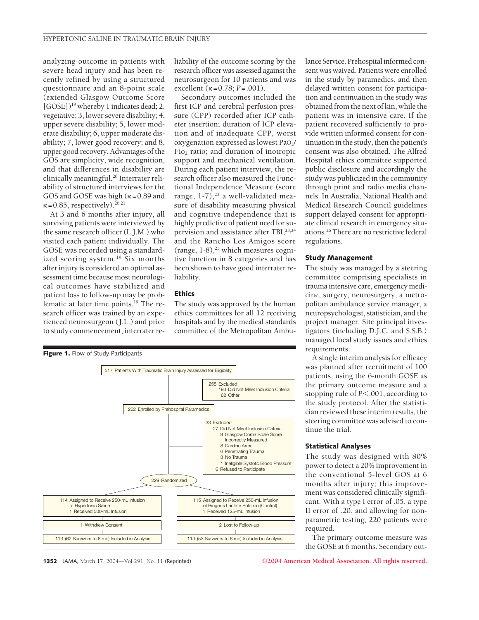analyzing outcome in patients with severe head injury and has been recently refined by using a structured questionnaire and an 8-point scale (extended Glasgow Outcome Score  $[GOSE]$ <sup>19</sup> whereby 1 indicates dead; 2, vegetative; 3, lower severe disability; 4, upper severe disability; 5, lower moderate disability; 6, upper moderate disability; 7, lower good recovery; and 8, upper good recovery. Advantages of the GOS are simplicity, wide recognition, and that differences in disability are clinically meaningful.<sup>20</sup> Interrater reliability of structured interviews for the GOS and GOSE was high  $(\kappa = 0.89$  and  $\kappa$  = 0.85, respectively).<sup>20,21</sup>

At 3 and 6 months after injury, all surviving patients were interviewed by the same research officer (L.J.M.) who visited each patient individually. The GOSE was recorded using a standardized scoring system.19 Six months after injury is considered an optimal assessment time because most neurological outcomes have stabilized and patient loss to follow-up may be problematic at later time points.<sup>19</sup> The research officer was trained by an experienced neurosurgeon ( J.L.) and prior to study commencement, interrater reliability of the outcome scoring by the research officer was assessed against the neurosurgeon for 10 patients and was excellent  $(\kappa = 0.78; P = .001)$ .

Secondary outcomes included the first ICP and cerebral perfusion pressure (CPP) recorded after ICP catheter insertion; duration of ICP elevation and of inadequate CPP, worst oxygenation expressed as lowest PaO<sub>2</sub>/  $Fio<sub>2</sub>$  ratio; and duration of inotropic support and mechanical ventilation. During each patient interview, the research officer also measured the Functional Independence Measure (score range,  $1-7$ ), $^{22}$  a well-validated measure of disability measuring physical and cognitive independence that is highly predictive of patient need for supervision and assistance after TBI,<sup>23,24</sup> and the Rancho Los Amigos score (range,  $1-8$ ),<sup>25</sup> which measures cognitive function in 8 categories and has been shown to have good interrater reliability.

#### **Ethics**

The study was approved by the human ethics committees for all 12 receiving hospitals and by the medical standards committee of the Metropolitan Ambu-



lance Service. Prehospital informed consent was waived. Patients were enrolled in the study by paramedics, and then delayed written consent for participation and continuation in the study was obtained from the next of kin, while the patient was in intensive care. If the patient recovered sufficiently to provide written informed consent for continuation in the study, then the patient's consent was also obtained. The Alfred Hospital ethics committee supported public disclosure and accordingly the study was publicized in the community through print and radio media channels. In Australia, National Health and Medical Research Council guidelines support delayed consent for appropriate clinical research in emergency situations.26 There are no restrictive federal regulations.

### **Study Management**

The study was managed by a steering committee comprising specialists in trauma intensive care, emergency medicine, surgery, neurosurgery, a metropolitan ambulance service manager, a neuropsychologist, statistician, and the project manager. Site principal investigators (including D.J.C. and S.S.B.) managed local study issues and ethics requirements.

A single interim analysis for efficacy was planned after recruitment of 100 patients, using the 6-month GOSE as the primary outcome measure and a stopping rule of *P*<.001, according to the study protocol. After the statistician reviewed these interim results, the steering committee was advised to continue the trial.

#### **Statistical Analyses**

The study was designed with 80% power to detect a 20% improvement in the conventional 5-level GOS at 6 months after injury; this improvement was considered clinically significant. With a type I error of .05, a type II error of .20, and allowing for nonparametric testing, 220 patients were required.

The primary outcome measure was the GOSE at 6 months. Secondary out-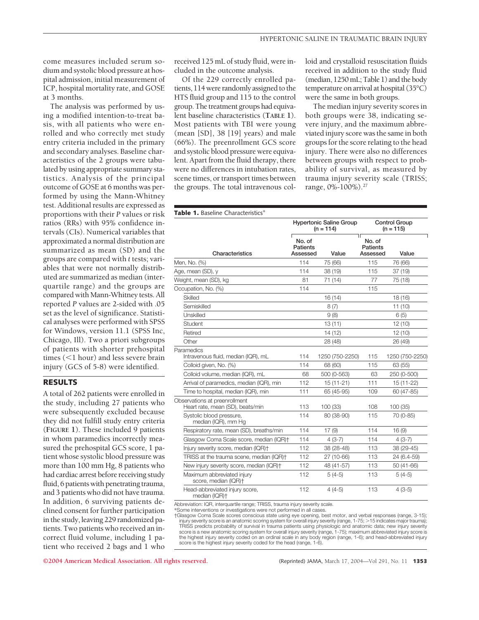come measures included serum sodium and systolic blood pressure at hospital admission, initial measurement of ICP, hospital mortality rate, and GOSE at 3 months.

The analysis was performed by using a modified intention-to-treat basis, with all patients who were enrolled and who correctly met study entry criteria included in the primary and secondary analyses. Baseline characteristics of the 2 groups were tabulated by using appropriate summary statistics. Analysis of the principal outcome of GOSE at 6 months was performed by using the Mann-Whitney test. Additional results are expressed as proportions with their *P* values or risk ratios (RRs) with 95% confidence intervals (CIs). Numerical variables that approximated a normal distribution are summarized as mean (SD) and the groups are compared with *t* tests; variables that were not normally distributed are summarized as median (interquartile range) and the groups are compared with Mann-Whitney tests. All reported *P* values are 2-sided with .05 set as the level of significance. Statistical analyses were performed with SPSS for Windows, version 11.1 (SPSS Inc, Chicago, Ill). Two a priori subgroups of patients with shorter prehospital times  $(<1$  hour) and less severe brain injury (GCS of 5-8) were identified.

## **RESULTS**

A total of 262 patients were enrolled in the study, including 27 patients who were subsequently excluded because they did not fulfill study entry criteria (**FIGURE 1**). These included 9 patients in whom paramedics incorrectly measured the prehospital GCS score, 1 patient whose systolic blood pressure was more than 100 mm Hg, 8 patients who had cardiac arrest before receiving study fluid, 6 patients with penetrating trauma, and 3 patients who did not have trauma. In addition, 6 surviving patients declined consent for further participation in the study, leaving 229 randomized patients. Two patients who received an incorrect fluid volume, including 1 patient who received 2 bags and 1 who

received 125 mL of study fluid, were included in the outcome analysis.

Of the 229 correctly enrolled patients, 114 were randomly assigned to the HTS fluid group and 115 to the control group. The treatment groups had equivalent baseline characteristics (**TABLE 1**). Most patients with TBI were young (mean [SD], 38 [19] years) and male (66%). The preenrollment GCS score and systolic blood pressure were equivalent. Apart from the fluid therapy, there were no differences in intubation rates, scene times, or transport times between the groups. The total intravenous colloid and crystalloid resuscitation fluids received in addition to the study fluid (median, 1250mL; Table 1) and the body temperature on arrival at hospital (35°C) were the same in both groups.

The median injury severity scores in both groups were 38, indicating severe injury, and the maximum abbreviated injury score was the same in both groups for the score relating to the head injury. There were also no differences between groups with respect to probability of survival, as measured by trauma injury severity scale (TRISS; range, 0%-100%).27

| <b>Table 1.</b> Baseline Characteristics*                         |                                       |                                               |                                       |                                     |
|-------------------------------------------------------------------|---------------------------------------|-----------------------------------------------|---------------------------------------|-------------------------------------|
|                                                                   |                                       | <b>Hypertonic Saline Group</b><br>$(n = 114)$ |                                       | <b>Control Group</b><br>$(n = 115)$ |
| Characteristics                                                   | No. of<br><b>Patients</b><br>Assessed | Value                                         | No. of<br><b>Patients</b><br>Assessed | Value                               |
| Men, No. (%)                                                      | 114                                   | 75 (66)                                       | 115                                   | 76 (66)                             |
| Age, mean (SD), y                                                 | 114                                   | 38 (19)                                       | 115                                   | 37(19)                              |
| Weight, mean (SD), kg                                             | 81                                    | 71 (14)                                       | 77                                    | 75 (18)                             |
| Occupation, No. (%)                                               | 114                                   |                                               | 115                                   |                                     |
| Skilled                                                           |                                       | 16 (14)                                       |                                       | 18 (16)                             |
| Semiskilled                                                       |                                       | 8(7)                                          |                                       | 11(10)                              |
| Unskilled                                                         |                                       | 9(8)                                          |                                       | 6(5)                                |
| Student                                                           |                                       | 13(11)                                        |                                       | 12 (10)                             |
| Retired                                                           |                                       | 14 (12)                                       |                                       | 12 (10)                             |
| Other                                                             |                                       | 28 (48)                                       |                                       | 26 (49)                             |
| Paramedics<br>Intravenous fluid, median (IQR), mL                 | 114                                   | 1250 (750-2250)                               | 115                                   | 1250 (750-2250)                     |
| Colloid given, No. (%)                                            | 114                                   | 68 (60)                                       | 115                                   | 63 (55)                             |
| Colloid volume, median (IQR), mL                                  | 68                                    | 500 (0-563)                                   | 63                                    | 250 (0-500)                         |
| Arrival of paramedics, median (IQR), min                          | 112                                   | $15(11-21)$                                   | 111                                   | 15 (11-22)                          |
| Time to hospital, median (IQR), min                               | 111                                   | 65 (45-95)                                    | 109                                   | 60 (47-85)                          |
| Observations at preenrollment<br>Heart rate, mean (SD), beats/min | 113                                   | 100 (33)                                      | 108                                   | 100 (35)                            |
| Systolic blood pressure,<br>median (IQR), mm Hg                   | 114                                   | 80 (38-90)                                    | 115                                   | 70 (0-85)                           |
| Respiratory rate, mean (SD), breaths/min                          | 114                                   | 17(9)                                         | 114                                   | 16(9)                               |
| Glasgow Coma Scale score, median (IQR)+                           | 114                                   | $4(3-7)$                                      | 114                                   | $4(3-7)$                            |
| Injury severity score, median (IQR)+                              | 112                                   | 38 (28-48)                                    | 113                                   | 38 (29-45)                          |
| TRISS at the trauma scene, median (IQR)+                          | 112                                   | 27 (10-66)                                    | 113                                   | 24 (6.4-59)                         |
| New injury severity score, median (IQR)+                          | 112                                   | 48 (41-57)                                    | 113                                   | $50(41-66)$                         |
| Maximum abbreviated injury<br>score, median (IQR)+                | 112                                   | $5(4-5)$                                      | 113                                   | $5(4-5)$                            |
| Head-abbreviated injury score,<br>median (IQR)+                   | 112                                   | $4(4-5)$                                      | 113                                   | $4(3-5)$                            |

Abbreviation: IQR, interquartile range; TRISS, trauma injury severity scale.

\*Some interventions or investigations were not performed in all cases.

†Glasgow Coma Scale scores conscious state using eye opening, best motor, and verbal responses (range, 3-15);<br>injury severity score is an anatomic scoring system for overall injury severity (range, 1-75; >15 indicates majo TRISS predicts probability of survival in trauma patients using physiologic and anatomic data; new injury severity<br>score is a new anatomic scoring system for overall injury severity (range, 1-75); maximum abbreviated injur the highest injury severity coded on an ordinal scale in any body region (range, 1-6); and head-abbreviated injury score is the highest injury severity coded for the head (range, 1-6).

**©2004 American Medical Association. All rights reserved.** (Reprinted) JAMA, March 17, 2004—Vol 291, No. 11 **1353**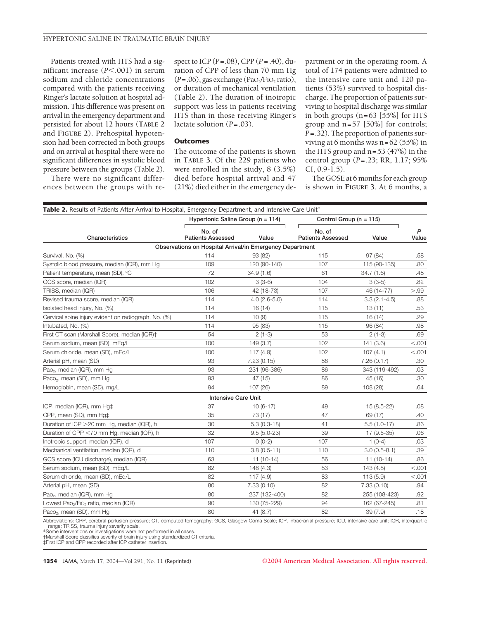#### HYPERTONIC SALINE IN TRAUMATIC BRAIN INJURY

Patients treated with HTS had a significant increase (*P*<.001) in serum sodium and chloride concentrations compared with the patients receiving Ringer's lactate solution at hospital admission. This difference was present on arrival in the emergency department and persisted for about 12 hours (**TABLE 2** and **FIGURE 2**). Prehospital hypotension had been corrected in both groups and on arrival at hospital there were no significant differences in systolic blood pressure between the groups (Table 2).

There were no significant differences between the groups with respect to ICP (*P*=.08), CPP (*P* = .40), duration of CPP of less than 70 mm Hg  $(P=.06)$ , gas exchange (PaO<sub>2</sub>/FIO<sub>2</sub> ratio), or duration of mechanical ventilation (Table 2). The duration of inotropic support was less in patients receiving HTS than in those receiving Ringer's lactate solution (*P*=.03).

#### **Outcomes**

The outcome of the patients is shown in **TABLE 3**. Of the 229 patients who were enrolled in the study, 8 (3.5%) died before hospital arrival and 47 (21%) died either in the emergency de-

partment or in the operating room. A total of 174 patients were admitted to the intensive care unit and 120 patients (53%) survived to hospital discharge. The proportion of patients surviving to hospital discharge was similar in both groups (n=63 [55%] for HTS group and n=57 [50%] for controls; *P*=.32). The proportion of patients surviving at 6 months was  $n=62$  (55%) in the HTS group and n=53 (47%) in the control group (*P*=.23; RR, 1.17; 95% CI, 0.9-1.5).

The GOSE at 6 months for each group is shown in **FIGURE 3**. At 6 months, a

| Table 2. Results of Patients After Arrival to Hospital, Emergency Department, and Intensive Care Unit* |                                                          |                |                                    |                  |            |
|--------------------------------------------------------------------------------------------------------|----------------------------------------------------------|----------------|------------------------------------|------------------|------------|
|                                                                                                        | Hypertonic Saline Group (n = 114)                        |                | Control Group ( $n = 115$ )        |                  |            |
| Characteristics                                                                                        | No. of<br><b>Patients Assessed</b>                       | Value          | No. of<br><b>Patients Assessed</b> | Value            | P<br>Value |
|                                                                                                        | Observations on Hospital Arrival/in Emergency Department |                |                                    |                  |            |
| Survival, No. (%)                                                                                      | 114                                                      | 93 (82)        | 115                                | 97 (84)          | .58        |
| Systolic blood pressure, median (IQR), mm Hg                                                           | 109                                                      | 120 (90-140)   | 107                                | 115 (90-135)     | .80        |
| Patient temperature, mean (SD), °C                                                                     | 72                                                       | 34.9(1.6)      | 61                                 | 34.7(1.6)        | .48        |
| GCS score, median (IQR)                                                                                | 102                                                      | $3(3-6)$       | 104                                | $3(3-5)$         | .82        |
| TRISS, median (IQR)                                                                                    | 106                                                      | 42 (18-73)     | 107                                | 46 (14-77)       | > 99       |
| Revised trauma score, median (IQR)                                                                     | 114                                                      | $4.0(2.6-5.0)$ | 114                                | $3.3(2.1 - 4.5)$ | .88        |
| Isolated head injury, No. (%)                                                                          | 114                                                      | 16(14)         | 115                                | 13(11)           | .53        |
| Cervical spine injury evident on radiograph, No. (%)                                                   | 114                                                      | 10(9)          | 115                                | 16(14)           | .29        |
| Intubated, No. (%)                                                                                     | 114                                                      | 95 (83)        | 115                                | 96 (84)          | .98        |
| First CT scan (Marshall Score), median (IQR)+                                                          | 54                                                       | $2(1-3)$       | 53                                 | $2(1-3)$         | .69        |
| Serum sodium, mean (SD), mEq/L                                                                         | 100                                                      | 149(3.7)       | 102                                | 141 (3.6)        | < .001     |
| Serum chloride, mean (SD), mEq/L                                                                       | 100                                                      | 117(4.9)       | 102                                | 107(4.1)         | < .001     |
| Arterial pH, mean (SD)                                                                                 | 93                                                       | 7.23(0.15)     | 86                                 | 7.26(0.17)       | .30        |
| Pao <sub>2</sub> , median (IQR), mm Hg                                                                 | 93                                                       | 231 (96-386)   | 86                                 | 343 (119-492)    | .03        |
| Paco <sub>2</sub> , mean (SD), mm Hg                                                                   | 93                                                       | 47 (15)        | 86                                 | 45 (16)          | .30        |
| Hemoglobin, mean (SD), mg/L                                                                            | 94                                                       | 107 (26)       | 89                                 | 108 (28)         | .64        |
|                                                                                                        | <b>Intensive Care Unit</b>                               |                |                                    |                  |            |
| ICP, median (IQR), mm Hg‡                                                                              | 37                                                       | $10(6-17)$     | 49                                 | 15 (8.5-22)      | .08        |
| CPP, mean (SD), mm Hg‡                                                                                 | 35                                                       | 73 (17)        | 47                                 | 69 (17)          | .40        |
| Duration of ICP > 20 mm Hg, median (IQR), h                                                            | 30                                                       | $5.3(0.3-18)$  | 41                                 | $5.5(1.0-17)$    | .86        |
| Duration of CPP <70 mm Hg, median (IQR), h                                                             | 32                                                       | $9.5(5.0-23)$  | 39                                 | 17 (9.5-35)      | .06        |
| Inotropic support, median (IQR), d                                                                     | 107                                                      | $0(0-2)$       | 107                                | $1(0-4)$         | .03        |
| Mechanical ventilation, median (IQR), d                                                                | 110                                                      | $3.8(0.5-11)$  | 110                                | $3.0(0.5-8.1)$   | .39        |
| GCS score (ICU discharge), median (IQR)                                                                | 63                                                       | $11(10-14)$    | 56                                 | $11(10-14)$      | .86        |
| Serum sodium, mean (SD), mEq/L                                                                         | 82                                                       | 148 (4.3)      | 83                                 | 143 (4.8)        | < .001     |
| Serum chloride, mean (SD), mEq/L                                                                       | 82                                                       | 117(4.9)       | 83                                 | 113(5.9)         | < .001     |
| Arterial pH, mean (SD)                                                                                 | 80                                                       | 7.33(0.10)     | 82                                 | 7.33(0.10)       | .94        |
| Pao <sub>2</sub> , median (IQR), mm Hg                                                                 | 80                                                       | 237 (132-400)  | 82                                 | 255 (108-423)    | .92        |
| Lowest Pao <sub>2</sub> /FIO <sub>2</sub> ratio, median (IQR)                                          | 90                                                       | 130 (75-229)   | 94                                 | 162 (67-245)     | .81        |
| Paco <sub>2</sub> , mean (SD), mm Hg                                                                   | 80                                                       | 41(8.7)        | 82                                 | 39(7.9)          | .18        |

Abbreviations: CPP, cerebral perfusion pressure; CT, computed tomography; GCS, Glasgow Coma Scale; ICP, intracranial pressure; ICU, intensive care unit; IQR, interquartile range; TRISS, trauma injury severity scale. \*Some interventions or investigations were not performed in all cases.

†Marshall Score classifies severity of brain injury using standardized CT criteria. ‡First ICP and CPP recorded after ICP catheter insertion.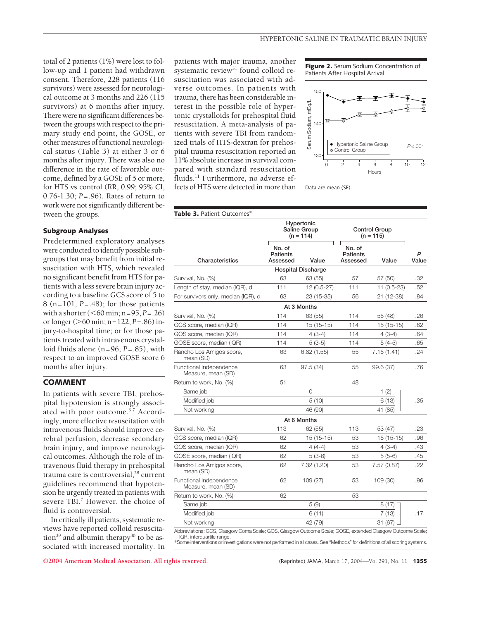total of 2 patients (1%) were lost to follow-up and 1 patient had withdrawn consent. Therefore, 228 patients (116 survivors) were assessed for neurological outcome at 3 months and 226 (115 survivors) at 6 months after injury. There were no significant differences between the groups with respect to the primary study end point, the GOSE, or other measures of functional neurological status (Table 3) at either 3 or 6 months after injury. There was also no difference in the rate of favorable outcome, defined by a GOSE of 5 or more, for HTS vs control (RR, 0.99; 95% CI, 0.76-1.30; *P*=.96). Rates of return to work were not significantly different between the groups.

#### **Subgroup Analyses**

Predetermined exploratory analyses were conducted to identify possible subgroups that may benefit from initial resuscitation with HTS, which revealed no significant benefit from HTS for patients with a less severe brain injury according to a baseline GCS score of 5 to 8 (n=101, *P*=.48); for those patients with a shorter ( $\leq 60$  min; n=95, *P*=.26) or longer ( $>60$  min; n=122, *P*=.86) injury-to-hospital time; or for those patients treated with intravenous crystalloid fluids alone (n=96, *P*=.85), with respect to an improved GOSE score 6 months after injury.

## **COMMENT**

In patients with severe TBI, prehospital hypotension is strongly associated with poor outcome.3,7 Accordingly, more effective resuscitation with intravenous fluids should improve cerebral perfusion, decrease secondary brain injury, and improve neurological outcomes. Although the role of intravenous fluid therapy in prehospital trauma care is controversial,<sup>28</sup> current guidelines recommend that hypotension be urgently treated in patients with severe TBI.<sup>7</sup> However, the choice of fluid is controversial.

In critically ill patients, systematic reviews have reported colloid resuscitation<sup>29</sup> and albumin therapy<sup>30</sup> to be associated with increased mortality. In patients with major trauma, another systematic review<sup>31</sup> found colloid resuscitation was associated with adverse outcomes. In patients with trauma, there has been considerable interest in the possible role of hypertonic crystalloids for prehospital fluid resuscitation. A meta-analysis of patients with severe TBI from randomized trials of HTS-dextran for prehospital trauma resuscitation reported an 11% absolute increase in survival compared with standard resuscitation fluids.11 Furthermore, no adverse effects of HTS were detected in more than





Data are mean (SE).

| <b>Table 3.</b> Patient Outcomes*             |                                |                                           |                                       |                              |            |  |
|-----------------------------------------------|--------------------------------|-------------------------------------------|---------------------------------------|------------------------------|------------|--|
|                                               |                                | Hypertonic<br>Saline Group<br>$(n = 114)$ |                                       | Control Group<br>$(n = 115)$ |            |  |
| Characteristics                               | No. of<br>Patients<br>Assessed | Value                                     | No. of<br><b>Patients</b><br>Assessed | Value                        | P<br>Value |  |
|                                               |                                | <b>Hospital Discharge</b>                 |                                       |                              |            |  |
| Survival, No. (%)                             | 63                             | 63 (55)                                   | 57                                    | 57 (50)                      | .32        |  |
| Length of stay, median (IQR), d               | 111                            | $12(0.5-27)$                              | 111                                   | 11 (0.5-23)                  | .52        |  |
| For survivors only, median (IQR), d           | 63                             | 23 (15-35)                                | 56                                    | 21 (12-38)                   | .84        |  |
|                                               |                                | At 3 Months                               |                                       |                              |            |  |
| Survival, No. (%)                             | 114                            | 63 (55)                                   | 114                                   | 55 (48)                      | .26        |  |
| GCS score, median (IQR)                       | 114                            | $15(15-15)$                               | 114                                   | 15 (15-15)                   | .62        |  |
| GOS score, median (IQR)                       | 114                            | $4(3-4)$                                  | 114                                   | $4(3-4)$                     | .64        |  |
| GOSE score, median (IQR)                      | 114                            | $5(3-5)$                                  | 114                                   | $5(4-5)$                     | .65        |  |
| Rancho Los Amigos score,<br>mean (SD)         | 63                             | 6.82(1.55)                                | 55                                    | 7.15(1.41)                   | .24        |  |
| Functional Independence<br>Measure, mean (SD) | 63                             | 97.5 (34)                                 | 55                                    | 99.6 (37)                    | .76        |  |
| Return to work, No. (%)                       | 51                             |                                           | 48                                    |                              |            |  |
| Same job                                      |                                | 0                                         |                                       | 1(2)                         |            |  |
| Modified job                                  |                                | 5 (10)                                    |                                       | 6(13)                        | .35        |  |
| Not working                                   |                                | 46 (90)                                   |                                       | 41 (85)                      |            |  |
|                                               |                                | At 6 Months                               |                                       |                              |            |  |
| Survival, No. (%)                             | 113                            | 62 (55)                                   | 113                                   | 53 (47)                      | .23        |  |
| GCS score, median (IQR)                       | 62                             | $15(15-15)$                               | 53                                    | $15(15-15)$                  | .96        |  |
| GOS score, median (IQR)                       | 62                             | $4(4-4)$                                  | 53                                    | $4(3-4)$                     | .43        |  |
| GOSE score, median (IQR)                      | 62                             | $5(3-6)$                                  | 53                                    | $5(5-6)$                     | .45        |  |
| Rancho Los Amigos score,<br>mean (SD)         | 62                             | 7.32 (1.20)                               | 53                                    | 7.57(0.87)                   | .22        |  |
| Functional Independence<br>Measure, mean (SD) | 62                             | 109 (27)                                  | 53                                    | 109 (30)                     | .96        |  |
| Return to work, No. (%)                       | 62                             |                                           | 53                                    |                              |            |  |
| Same job                                      |                                | 5(9)                                      |                                       | 8 (17)                       |            |  |
| Modified job                                  |                                | 6(11)                                     |                                       | 7 (13)                       | .17        |  |
| Not working                                   |                                | 42 (79)                                   |                                       | 31 (67)                      |            |  |

Abbreviations: GCS, Glasgow Coma Scale; GOS, Glasgow Outcome Scale; GOSE, extended Glasgow Outcome Scale; IQR, interquartile range.

\*Some interventions or investigations were not performed in all cases. See "Methods" for definitions of all scoring systems.

**©2004 American Medical Association. All rights reserved.** (Reprinted) JAMA, March 17, 2004—Vol 291, No. 11 **1355**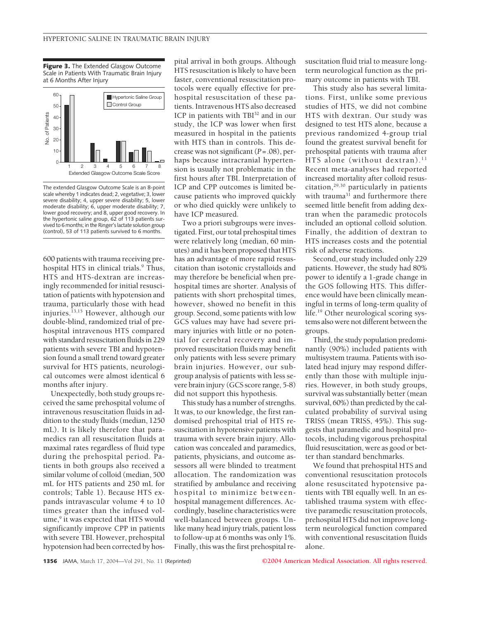**Figure 3.** The Extended Glasgow Outcome Scale in Patients With Traumatic Brain Injury at 6 Months After Injury



The extended Glasgow Outcome Scale is an 8-point scale whereby 1 indicates dead; 2, vegetative; 3, lower severe disability; 4, upper severe disability; 5, lower moderate disability; 6, upper moderate disability; 7, lower good recovery; and 8, upper good recovery. In the hypertonic saline group, 62 of 113 patients survived to 6 months; in the Ringer's lactate solution group (control), 53 of 113 patients survived to 6 months.

600 patients with trauma receiving prehospital HTS in clinical trials.<sup>9</sup> Thus, HTS and HTS-dextran are increasingly recommended for initial resuscitation of patients with hypotension and trauma, particularly those with head injuries.<sup>13,15</sup> However, although our double-blind, randomized trial of prehospital intravenous HTS compared with standard resuscitation fluids in 229 patients with severe TBI and hypotension found a small trend toward greater survival for HTS patients, neurological outcomes were almost identical 6 months after injury.

Unexpectedly, both study groups received the same prehospital volume of intravenous resuscitation fluids in addition to the study fluids (median, 1250 mL). It is likely therefore that paramedics ran all resuscitation fluids at maximal rates regardless of fluid type during the prehospital period. Patients in both groups also received a similar volume of colloid (median, 500 mL for HTS patients and 250 mL for controls; Table 1). Because HTS expands intravascular volume 4 to 10 times greater than the infused volume,<sup>9</sup> it was expected that HTS would significantly improve CPP in patients with severe TBI. However, prehospital hypotension had been corrected by hospital arrival in both groups. Although HTS resuscitation is likely to have been faster, conventional resuscitation protocols were equally effective for prehospital resuscitation of these patients. Intravenous HTS also decreased ICP in patients with TBI<sup>32</sup> and in our study, the ICP was lower when first measured in hospital in the patients with HTS than in controls. This decrease was not significant (*P*=.08), perhaps because intracranial hypertension is usually not problematic in the first hours after TBI. Interpretation of ICP and CPP outcomes is limited because patients who improved quickly or who died quickly were unlikely to have ICP measured.

Two a priori subgroups were investigated. First, our total prehospital times were relatively long (median, 60 minutes) and it has been proposed that HTS has an advantage of more rapid resuscitation than isotonic crystalloids and may therefore be beneficial when prehospital times are shorter. Analysis of patients with short prehospital times, however, showed no benefit in this group. Second, some patients with low GCS values may have had severe primary injuries with little or no potential for cerebral recovery and improved resuscitation fluids may benefit only patients with less severe primary brain injuries. However, our subgroup analysis of patients with less severe brain injury (GCS score range, 5-8) did not support this hypothesis.

This study has a number of strengths. It was, to our knowledge, the first randomised prehospital trial of HTS resuscitation in hypotensive patients with trauma with severe brain injury. Allocation was concealed and paramedics, patients, physicians, and outcome assessors all were blinded to treatment allocation. The randomization was stratified by ambulance and receiving hospital to minimize betweenhospital management differences. Accordingly, baseline characteristics were well-balanced between groups. Unlike many head injury trials, patient loss to follow-up at 6 months was only 1%. Finally, this was the first prehospital resuscitation fluid trial to measure longterm neurological function as the primary outcome in patients with TBI.

This study also has several limitations. First, unlike some previous studies of HTS, we did not combine HTS with dextran. Our study was designed to test HTS alone, because a previous randomized 4-group trial found the greatest survival benefit for prehospital patients with trauma after HTS alone (without dextran).<sup>11</sup> Recent meta-analyses had reported increased mortality after colloid resuscitation,29,30 particularly in patients with trauma<sup>31</sup> and furthermore there seemed little benefit from adding dextran when the paramedic protocols included an optional colloid solution. Finally, the addition of dextran to HTS increases costs and the potential risk of adverse reactions.

Second, our study included only 229 patients. However, the study had 80% power to identify a 1-grade change in the GOS following HTS. This difference would have been clinically meaningful in terms of long-term quality of life.19 Other neurological scoring systems also were not different between the groups.

Third, the study population predominantly (90%) included patients with multisystem trauma. Patients with isolated head injury may respond differently than those with multiple injuries. However, in both study groups, survival was substantially better (mean survival, 60%) than predicted by the calculated probability of survival using TRISS (mean TRISS, 45%). This suggests that paramedic and hospital protocols, including vigorous prehospital fluid resuscitation, were as good or better than standard benchmarks.

We found that prehospital HTS and conventional resuscitation protocols alone resuscitated hypotensive patients with TBI equally well. In an established trauma system with effective paramedic resuscitation protocols, prehospital HTS did not improve longterm neurological function compared with conventional resuscitation fluids alone.